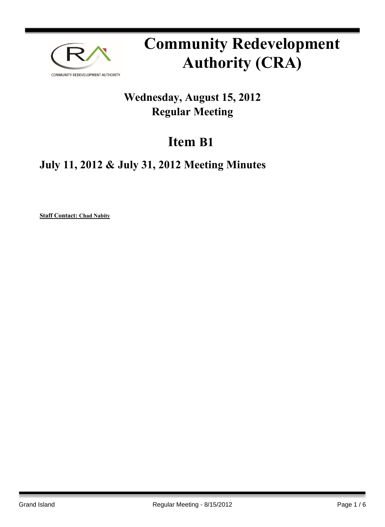

# **Community Redevelopment Authority (CRA)**

## **Wednesday, August 15, 2012 Regular Meeting**

## **Item B1**

### **July 11, 2012 & July 31, 2012 Meeting Minutes**

**Staff Contact: Chad Nabity**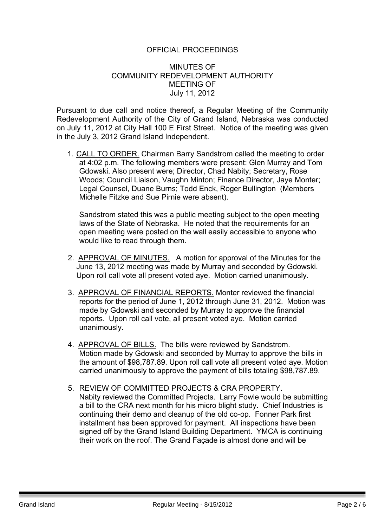#### OFFICIAL PROCEEDINGS

#### MINUTES OF COMMUNITY REDEVELOPMENT AUTHORITY MEETING OF July 11, 2012

Pursuant to due call and notice thereof, a Regular Meeting of the Community Redevelopment Authority of the City of Grand Island, Nebraska was conducted on July 11, 2012 at City Hall 100 E First Street. Notice of the meeting was given in the July 3, 2012 Grand Island Independent.

1. CALL TO ORDER. Chairman Barry Sandstrom called the meeting to order at 4:02 p.m. The following members were present: Glen Murray and Tom Gdowski. Also present were; Director, Chad Nabity; Secretary, Rose Woods; Council Liaison, Vaughn Minton; Finance Director, Jaye Monter; Legal Counsel, Duane Burns; Todd Enck, Roger Bullington (Members Michelle Fitzke and Sue Pirnie were absent).

Sandstrom stated this was a public meeting subject to the open meeting laws of the State of Nebraska. He noted that the requirements for an open meeting were posted on the wall easily accessible to anyone who would like to read through them.

- 2. APPROVAL OF MINUTES. A motion for approval of the Minutes for the June 13, 2012 meeting was made by Murray and seconded by Gdowski. Upon roll call vote all present voted aye. Motion carried unanimously.
- 3. APPROVAL OF FINANCIAL REPORTS. Monter reviewed the financial reports for the period of June 1, 2012 through June 31, 2012. Motion was made by Gdowski and seconded by Murray to approve the financial reports. Upon roll call vote, all present voted aye. Motion carried unanimously.
- 4. APPROVAL OF BILLS. The bills were reviewed by Sandstrom. Motion made by Gdowski and seconded by Murray to approve the bills in the amount of \$98,787.89. Upon roll call vote all present voted aye. Motion carried unanimously to approve the payment of bills totaling \$98,787.89.
- 5. REVIEW OF COMMITTED PROJECTS & CRA PROPERTY. Nabity reviewed the Committed Projects. Larry Fowle would be submitting a bill to the CRA next month for his micro blight study. Chief Industries is continuing their demo and cleanup of the old co-op. Fonner Park first installment has been approved for payment. All inspections have been signed off by the Grand Island Building Department. YMCA is continuing their work on the roof. The Grand Façade is almost done and will be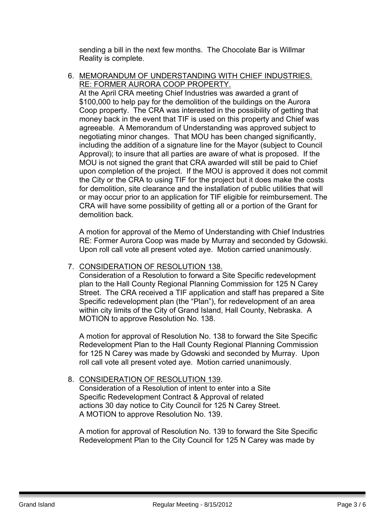sending a bill in the next few months. The Chocolate Bar is Willmar Reality is complete.

6. MEMORANDUM OF UNDERSTANDING WITH CHIEF INDUSTRIES. RE: FORMER AURORA COOP PROPERTY.

At the April CRA meeting Chief Industries was awarded a grant of \$100,000 to help pay for the demolition of the buildings on the Aurora Coop property. The CRA was interested in the possibility of getting that money back in the event that TIF is used on this property and Chief was agreeable. A Memorandum of Understanding was approved subject to negotiating minor changes. That MOU has been changed significantly, including the addition of a signature line for the Mayor (subject to Council Approval); to insure that all parties are aware of what is proposed. If the MOU is not signed the grant that CRA awarded will still be paid to Chief upon completion of the project. If the MOU is approved it does not commit the City or the CRA to using TIF for the project but it does make the costs for demolition, site clearance and the installation of public utilities that will or may occur prior to an application for TIF eligible for reimbursement. The CRA will have some possibility of getting all or a portion of the Grant for demolition back.

A motion for approval of the Memo of Understanding with Chief Industries RE: Former Aurora Coop was made by Murray and seconded by Gdowski. Upon roll call vote all present voted aye. Motion carried unanimously.

#### 7. CONSIDERATION OF RESOLUTION 138.

Consideration of a Resolution to forward a Site Specific redevelopment plan to the Hall County Regional Planning Commission for 125 N Carey Street. The CRA received a TIF application and staff has prepared a Site Specific redevelopment plan (the "Plan"), for redevelopment of an area within city limits of the City of Grand Island, Hall County, Nebraska. A MOTION to approve Resolution No. 138.

A motion for approval of Resolution No. 138 to forward the Site Specific Redevelopment Plan to the Hall County Regional Planning Commission for 125 N Carey was made by Gdowski and seconded by Murray. Upon roll call vote all present voted aye. Motion carried unanimously.

#### 8. CONSIDERATION OF RESOLUTION 139.

Consideration of a Resolution of intent to enter into a Site Specific Redevelopment Contract & Approval of related actions 30 day notice to City Council for 125 N Carey Street. A MOTION to approve Resolution No. 139.

A motion for approval of Resolution No. 139 to forward the Site Specific Redevelopment Plan to the City Council for 125 N Carey was made by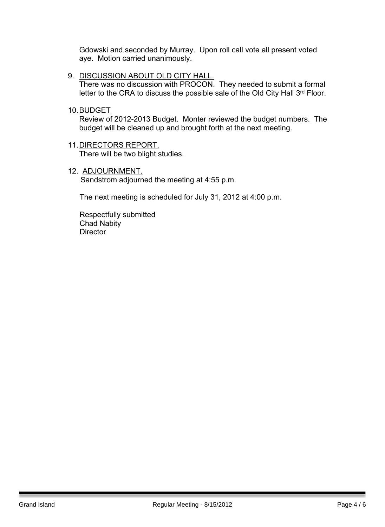Gdowski and seconded by Murray. Upon roll call vote all present voted aye. Motion carried unanimously.

- 9. DISCUSSION ABOUT OLD CITY HALL. There was no discussion with PROCON. They needed to submit a formal letter to the CRA to discuss the possible sale of the Old City Hall 3<sup>rd</sup> Floor.
- 10.BUDGET

Review of 2012-2013 Budget. Monter reviewed the budget numbers. The budget will be cleaned up and brought forth at the next meeting.

- 11.DIRECTORS REPORT. There will be two blight studies.
- 12. ADJOURNMENT. Sandstrom adjourned the meeting at 4:55 p.m.

The next meeting is scheduled for July 31, 2012 at 4:00 p.m.

 Respectfully submitted Chad Nabity **Director**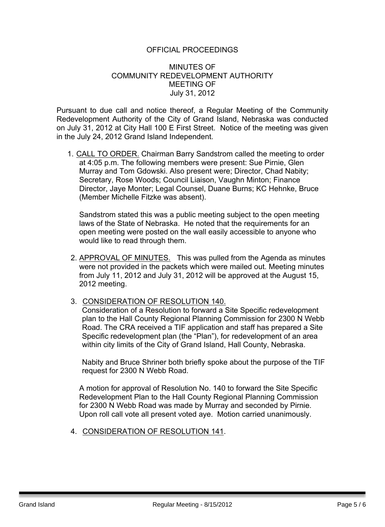#### OFFICIAL PROCEEDINGS

#### MINUTES OF COMMUNITY REDEVELOPMENT AUTHORITY MEETING OF July 31, 2012

Pursuant to due call and notice thereof, a Regular Meeting of the Community Redevelopment Authority of the City of Grand Island, Nebraska was conducted on July 31, 2012 at City Hall 100 E First Street. Notice of the meeting was given in the July 24, 2012 Grand Island Independent.

1. CALL TO ORDER. Chairman Barry Sandstrom called the meeting to order at 4:05 p.m. The following members were present: Sue Pirnie, Glen Murray and Tom Gdowski. Also present were; Director, Chad Nabity; Secretary, Rose Woods; Council Liaison, Vaughn Minton; Finance Director, Jaye Monter; Legal Counsel, Duane Burns; KC Hehnke, Bruce (Member Michelle Fitzke was absent).

Sandstrom stated this was a public meeting subject to the open meeting laws of the State of Nebraska. He noted that the requirements for an open meeting were posted on the wall easily accessible to anyone who would like to read through them.

- 2. APPROVAL OF MINUTES. This was pulled from the Agenda as minutes were not provided in the packets which were mailed out. Meeting minutes from July 11, 2012 and July 31, 2012 will be approved at the August 15, 2012 meeting.
- 3. CONSIDERATION OF RESOLUTION 140.

Consideration of a Resolution to forward a Site Specific redevelopment plan to the Hall County Regional Planning Commission for 2300 N Webb Road. The CRA received a TIF application and staff has prepared a Site Specific redevelopment plan (the "Plan"), for redevelopment of an area within city limits of the City of Grand Island, Hall County, Nebraska.

Nabity and Bruce Shriner both briefly spoke about the purpose of the TIF request for 2300 N Webb Road.

A motion for approval of Resolution No. 140 to forward the Site Specific Redevelopment Plan to the Hall County Regional Planning Commission for 2300 N Webb Road was made by Murray and seconded by Pirnie. Upon roll call vote all present voted aye. Motion carried unanimously.

4. CONSIDERATION OF RESOLUTION 141.